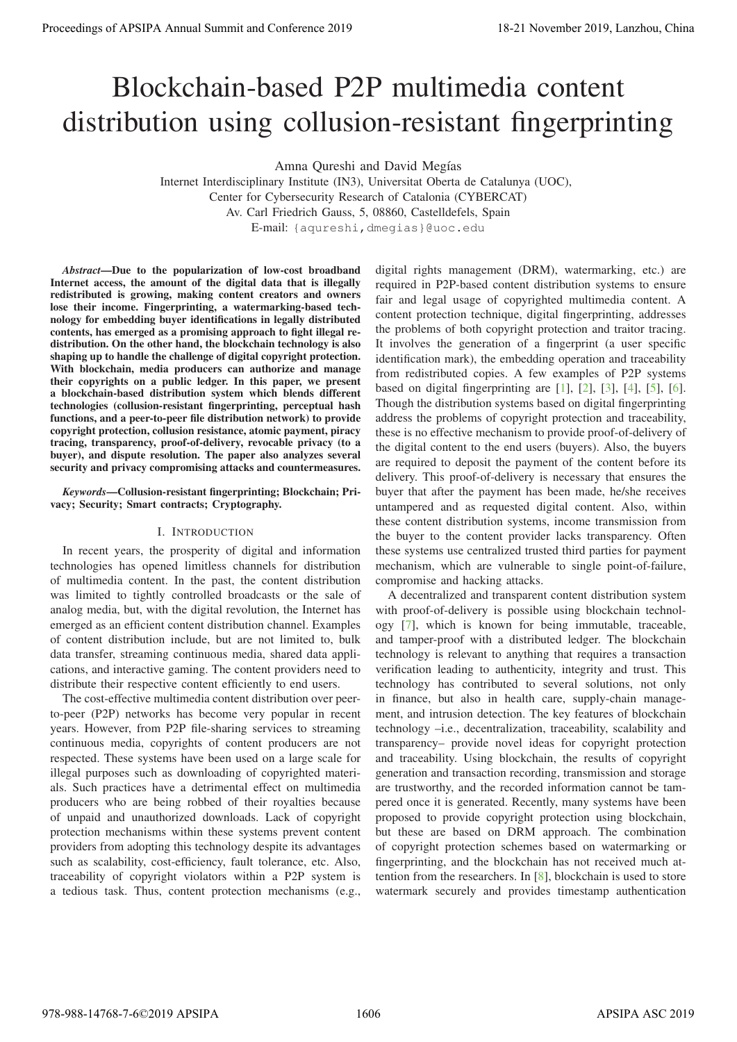# Blockchain-based P2P multimedia content distribution using collusion-resistant fingerprinting

Amna Qureshi and David Megías

Internet Interdisciplinary Institute (IN3), Universitat Oberta de Catalunya (UOC), Center for Cybersecurity Research of Catalonia (CYBERCAT) Av. Carl Friedrich Gauss, 5, 08860, Castelldefels, Spain E-mail: {aqureshi,dmegias}@uoc.edu

*Abstract*—Due to the popularization of low-cost broadband Internet access, the amount of the digital data that is illegally redistributed is growing, making content creators and owners lose their income. Fingerprinting, a watermarking-based technology for embedding buyer identifications in legally distributed contents, has emerged as a promising approach to fight illegal redistribution. On the other hand, the blockchain technology is also shaping up to handle the challenge of digital copyright protection. With blockchain, media producers can authorize and manage their copyrights on a public ledger. In this paper, we present a blockchain-based distribution system which blends different technologies (collusion-resistant fingerprinting, perceptual hash functions, and a peer-to-peer file distribution network) to provide copyright protection, collusion resistance, atomic payment, piracy tracing, transparency, proof-of-delivery, revocable privacy (to a buyer), and dispute resolution. The paper also analyzes several security and privacy compromising attacks and countermeasures.

*Keywords*—Collusion-resistant fingerprinting; Blockchain; Privacy; Security; Smart contracts; Cryptography.

## I. INTRODUCTION

In recent years, the prosperity of digital and information technologies has opened limitless channels for distribution of multimedia content. In the past, the content distribution was limited to tightly controlled broadcasts or the sale of analog media, but, with the digital revolution, the Internet has emerged as an efficient content distribution channel. Examples of content distribution include, but are not limited to, bulk data transfer, streaming continuous media, shared data applications, and interactive gaming. The content providers need to distribute their respective content efficiently to end users.

The cost-effective multimedia content distribution over peerto-peer (P2P) networks has become very popular in recent years. However, from P2P file-sharing services to streaming continuous media, copyrights of content producers are not respected. These systems have been used on a large scale for illegal purposes such as downloading of copyrighted materials. Such practices have a detrimental effect on multimedia producers who are being robbed of their royalties because of unpaid and unauthorized downloads. Lack of copyright protection mechanisms within these systems prevent content providers from adopting this technology despite its advantages such as scalability, cost-efficiency, fault tolerance, etc. Also, traceability of copyright violators within a P2P system is a tedious task. Thus, content protection mechanisms (e.g.,

digital rights management (DRM), watermarking, etc.) are required in P2P-based content distribution systems to ensure fair and legal usage of copyrighted multimedia content. A content protection technique, digital fingerprinting, addresses the problems of both copyright protection and traitor tracing. It involves the generation of a fingerprint (a user specific identification mark), the embedding operation and traceability from redistributed copies. A few examples of P2P systems based on digital fingerprinting are  $[1]$ ,  $[2]$ ,  $[3]$ ,  $[4]$ ,  $[5]$ ,  $[6]$ . Though the distribution systems based on digital fingerprinting address the problems of copyright protection and traceability, these is no effective mechanism to provide proof-of-delivery of the digital content to the end users (buyers). Also, the buyers are required to deposit the payment of the content before its delivery. This proof-of-delivery is necessary that ensures the buyer that after the payment has been made, he/she receives untampered and as requested digital content. Also, within these content distribution systems, income transmission from the buyer to the content provider lacks transparency. Often these systems use centralized trusted third parties for payment mechanism, which are vulnerable to single point-of-failure, compromise and hacking attacks. **Proceedings of APSIPA Annual Summit at Co-Co-co-2019**<br> **BIOCKChain-based P2P multimedia conference 2019**<br> **BIOCKChain-based P2P multimedia conference 2019**<br> **Conference 2019**<br> **Conference 2019**<br> **Conference 2019**<br> **Confe** 

A decentralized and transparent content distribution system with proof-of-delivery is possible using blockchain technology [7], which is known for being immutable, traceable, and tamper-proof with a distributed ledger. The blockchain technology is relevant to anything that requires a transaction verification leading to authenticity, integrity and trust. This technology has contributed to several solutions, not only in finance, but also in health care, supply-chain management, and intrusion detection. The key features of blockchain technology –i.e., decentralization, traceability, scalability and transparency– provide novel ideas for copyright protection and traceability. Using blockchain, the results of copyright generation and transaction recording, transmission and storage are trustworthy, and the recorded information cannot be tampered once it is generated. Recently, many systems have been proposed to provide copyright protection using blockchain, but these are based on DRM approach. The combination of copyright protection schemes based on watermarking or fingerprinting, and the blockchain has not received much attention from the researchers. In [8], blockchain is used to store watermark securely and provides timestamp authentication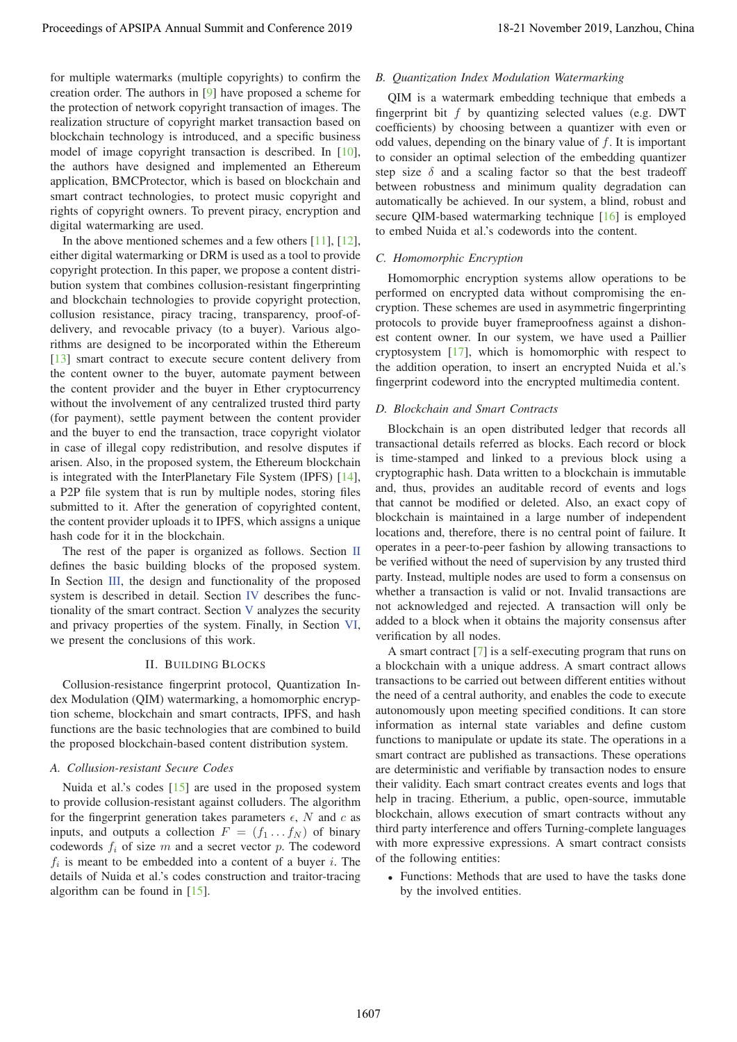for multiple watermarks (multiple copyrights) to confirm the creation order. The authors in [9] have proposed a scheme for the protection of network copyright transaction of images. The realization structure of copyright market transaction based on blockchain technology is introduced, and a specific business model of image copyright transaction is described. In [10], the authors have designed and implemented an Ethereum application, BMCProtector, which is based on blockchain and smart contract technologies, to protect music copyright and rights of copyright owners. To prevent piracy, encryption and digital watermarking are used.

In the above mentioned schemes and a few others  $[11]$ ,  $[12]$ , either digital watermarking or DRM is used as a tool to provide copyright protection. In this paper, we propose a content distribution system that combines collusion-resistant fingerprinting and blockchain technologies to provide copyright protection, collusion resistance, piracy tracing, transparency, proof-ofdelivery, and revocable privacy (to a buyer). Various algorithms are designed to be incorporated within the Ethereum [13] smart contract to execute secure content delivery from the content owner to the buyer, automate payment between the content provider and the buyer in Ether cryptocurrency without the involvement of any centralized trusted third party (for payment), settle payment between the content provider and the buyer to end the transaction, trace copyright violator in case of illegal copy redistribution, and resolve disputes if arisen. Also, in the proposed system, the Ethereum blockchain is integrated with the InterPlanetary File System (IPFS) [14], a P2P file system that is run by multiple nodes, storing files submitted to it. After the generation of copyrighted content, the content provider uploads it to IPFS, which assigns a unique hash code for it in the blockchain. Proceedings of APSIPA Annual Summit at  $C_1C_2C_3$  in Eq. 2018). We can confer the content of the conference 2019 in the conference 2019 in the conference 2019 in the conference 2019 in the conference 2019 in the conferen

The rest of the paper is organized as follows. Section  $\Pi$ defines the basic building blocks of the proposed system. In Section III, the design and functionality of the proposed system is described in detail. Section IV describes the functionality of the smart contract. Section V analyzes the security and privacy properties of the system. Finally, in Section VI, we present the conclusions of this work.

#### II. BUILDING BLOCKS

Collusion-resistance fingerprint protocol, Quantization Index Modulation (QIM) watermarking, a homomorphic encryption scheme, blockchain and smart contracts, IPFS, and hash functions are the basic technologies that are combined to build the proposed blockchain-based content distribution system.

## *A. Collusion-resistant Secure Codes*

Nuida et al.'s codes [15] are used in the proposed system to provide collusion-resistant against colluders. The algorithm for the fingerprint generation takes parameters  $\epsilon$ , N and c as inputs, and outputs a collection  $F = (f_1 \dots f_N)$  of binary codewords  $f_i$  of size m and a secret vector p. The codeword  $f_i$  is meant to be embedded into a content of a buyer i. The details of Nuida et al.'s codes construction and traitor-tracing algorithm can be found in [15].

## *B. Quantization Index Modulation Watermarking*

QIM is a watermark embedding technique that embeds a fingerprint bit  $f$  by quantizing selected values (e.g. DWT coefficients) by choosing between a quantizer with even or odd values, depending on the binary value of  $f$ . It is important to consider an optimal selection of the embedding quantizer step size  $\delta$  and a scaling factor so that the best tradeoff between robustness and minimum quality degradation can automatically be achieved. In our system, a blind, robust and secure QIM-based watermarking technique [16] is employed to embed Nuida et al.'s codewords into the content.

## *C. Homomorphic Encryption*

Homomorphic encryption systems allow operations to be performed on encrypted data without compromising the encryption. These schemes are used in asymmetric fingerprinting protocols to provide buyer frameproofness against a dishonest content owner. In our system, we have used a Paillier cryptosystem [17], which is homomorphic with respect to the addition operation, to insert an encrypted Nuida et al.'s fingerprint codeword into the encrypted multimedia content.

#### *D. Blockchain and Smart Contracts*

Blockchain is an open distributed ledger that records all transactional details referred as blocks. Each record or block is time-stamped and linked to a previous block using a cryptographic hash. Data written to a blockchain is immutable and, thus, provides an auditable record of events and logs that cannot be modified or deleted. Also, an exact copy of blockchain is maintained in a large number of independent locations and, therefore, there is no central point of failure. It operates in a peer-to-peer fashion by allowing transactions to be verified without the need of supervision by any trusted third party. Instead, multiple nodes are used to form a consensus on whether a transaction is valid or not. Invalid transactions are not acknowledged and rejected. A transaction will only be added to a block when it obtains the majority consensus after verification by all nodes.

A smart contract [7] is a self-executing program that runs on a blockchain with a unique address. A smart contract allows transactions to be carried out between different entities without the need of a central authority, and enables the code to execute autonomously upon meeting specified conditions. It can store information as internal state variables and define custom functions to manipulate or update its state. The operations in a smart contract are published as transactions. These operations are deterministic and verifiable by transaction nodes to ensure their validity. Each smart contract creates events and logs that help in tracing. Etherium, a public, open-source, immutable blockchain, allows execution of smart contracts without any third party interference and offers Turning-complete languages with more expressive expressions. A smart contract consists of the following entities:

• Functions: Methods that are used to have the tasks done by the involved entities.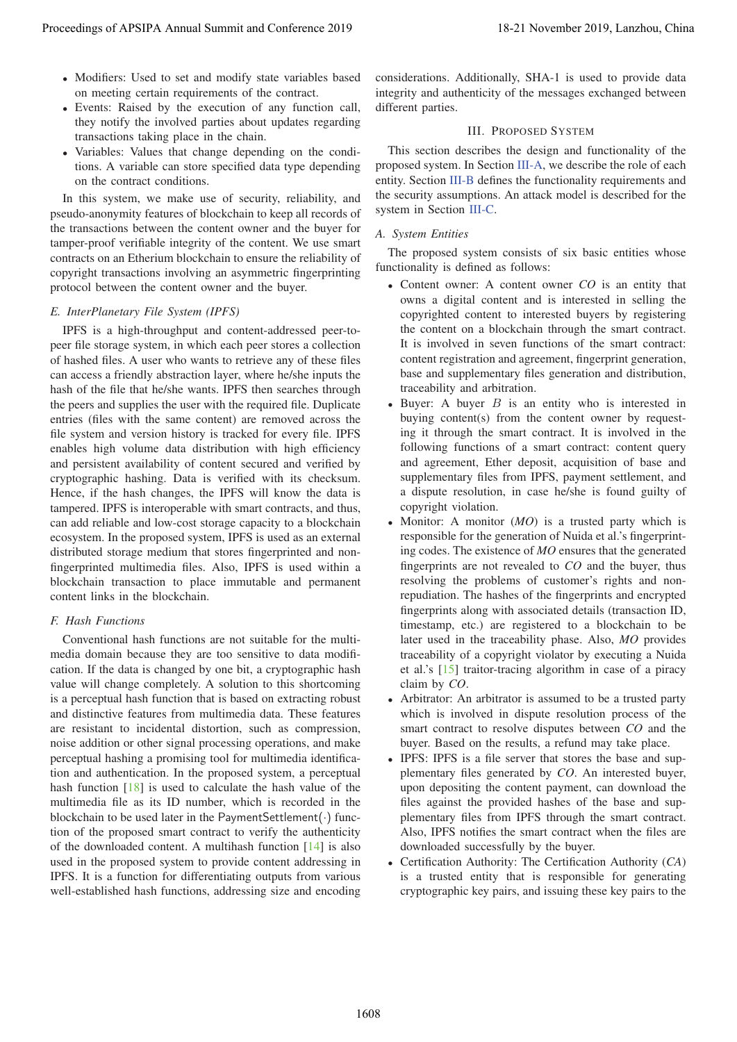- Modifiers: Used to set and modify state variables based on meeting certain requirements of the contract.
- Events: Raised by the execution of any function call, they notify the involved parties about updates regarding transactions taking place in the chain.
- Variables: Values that change depending on the conditions. A variable can store specified data type depending on the contract conditions.

In this system, we make use of security, reliability, and pseudo-anonymity features of blockchain to keep all records of the transactions between the content owner and the buyer for tamper-proof verifiable integrity of the content. We use smart contracts on an Etherium blockchain to ensure the reliability of copyright transactions involving an asymmetric fingerprinting protocol between the content owner and the buyer.

## *E. InterPlanetary File System (IPFS)*

IPFS is a high-throughput and content-addressed peer-topeer file storage system, in which each peer stores a collection of hashed files. A user who wants to retrieve any of these files can access a friendly abstraction layer, where he/she inputs the hash of the file that he/she wants. IPFS then searches through the peers and supplies the user with the required file. Duplicate entries (files with the same content) are removed across the file system and version history is tracked for every file. IPFS enables high volume data distribution with high efficiency and persistent availability of content secured and verified by cryptographic hashing. Data is verified with its checksum. Hence, if the hash changes, the IPFS will know the data is tampered. IPFS is interoperable with smart contracts, and thus, can add reliable and low-cost storage capacity to a blockchain ecosystem. In the proposed system, IPFS is used as an external distributed storage medium that stores fingerprinted and nonfingerprinted multimedia files. Also, IPFS is used within a blockchain transaction to place immutable and permanent content links in the blockchain. Proceedings of APSIPA Annual Summit and Conference 2019 18-21 November 2019, Lanzhou, China 1608

# *F. Hash Functions*

Conventional hash functions are not suitable for the multimedia domain because they are too sensitive to data modification. If the data is changed by one bit, a cryptographic hash value will change completely. A solution to this shortcoming is a perceptual hash function that is based on extracting robust and distinctive features from multimedia data. These features are resistant to incidental distortion, such as compression, noise addition or other signal processing operations, and make perceptual hashing a promising tool for multimedia identification and authentication. In the proposed system, a perceptual hash function [18] is used to calculate the hash value of the multimedia file as its ID number, which is recorded in the blockchain to be used later in the PaymentSettlement( $\cdot$ ) function of the proposed smart contract to verify the authenticity of the downloaded content. A multihash function [14] is also used in the proposed system to provide content addressing in IPFS. It is a function for differentiating outputs from various well-established hash functions, addressing size and encoding

considerations. Additionally, SHA-1 is used to provide data integrity and authenticity of the messages exchanged between different parties.

## III. PROPOSED SYSTEM

This section describes the design and functionality of the proposed system. In Section III-A, we describe the role of each entity. Section III-B defines the functionality requirements and the security assumptions. An attack model is described for the system in Section III-C.

# *A. System Entities*

The proposed system consists of six basic entities whose functionality is defined as follows:

- Content owner: A content owner *CO* is an entity that owns a digital content and is interested in selling the copyrighted content to interested buyers by registering the content on a blockchain through the smart contract. It is involved in seven functions of the smart contract: content registration and agreement, fingerprint generation, base and supplementary files generation and distribution, traceability and arbitration.
- Buyer: A buyer  $B$  is an entity who is interested in buying content(s) from the content owner by requesting it through the smart contract. It is involved in the following functions of a smart contract: content query and agreement, Ether deposit, acquisition of base and supplementary files from IPFS, payment settlement, and a dispute resolution, in case he/she is found guilty of copyright violation.
- Monitor: A monitor (*MO*) is a trusted party which is responsible for the generation of Nuida et al.'s fingerprinting codes. The existence of *MO* ensures that the generated fingerprints are not revealed to *CO* and the buyer, thus resolving the problems of customer's rights and nonrepudiation. The hashes of the fingerprints and encrypted fingerprints along with associated details (transaction ID, timestamp, etc.) are registered to a blockchain to be later used in the traceability phase. Also, *MO* provides traceability of a copyright violator by executing a Nuida et al.'s [15] traitor-tracing algorithm in case of a piracy claim by *CO*.
- Arbitrator: An arbitrator is assumed to be a trusted party which is involved in dispute resolution process of the smart contract to resolve disputes between *CO* and the buyer. Based on the results, a refund may take place.
- IPFS: IPFS is a file server that stores the base and supplementary files generated by *CO*. An interested buyer, upon depositing the content payment, can download the files against the provided hashes of the base and supplementary files from IPFS through the smart contract. Also, IPFS notifies the smart contract when the files are downloaded successfully by the buyer.
- Certification Authority: The Certification Authority (*CA*) is a trusted entity that is responsible for generating cryptographic key pairs, and issuing these key pairs to the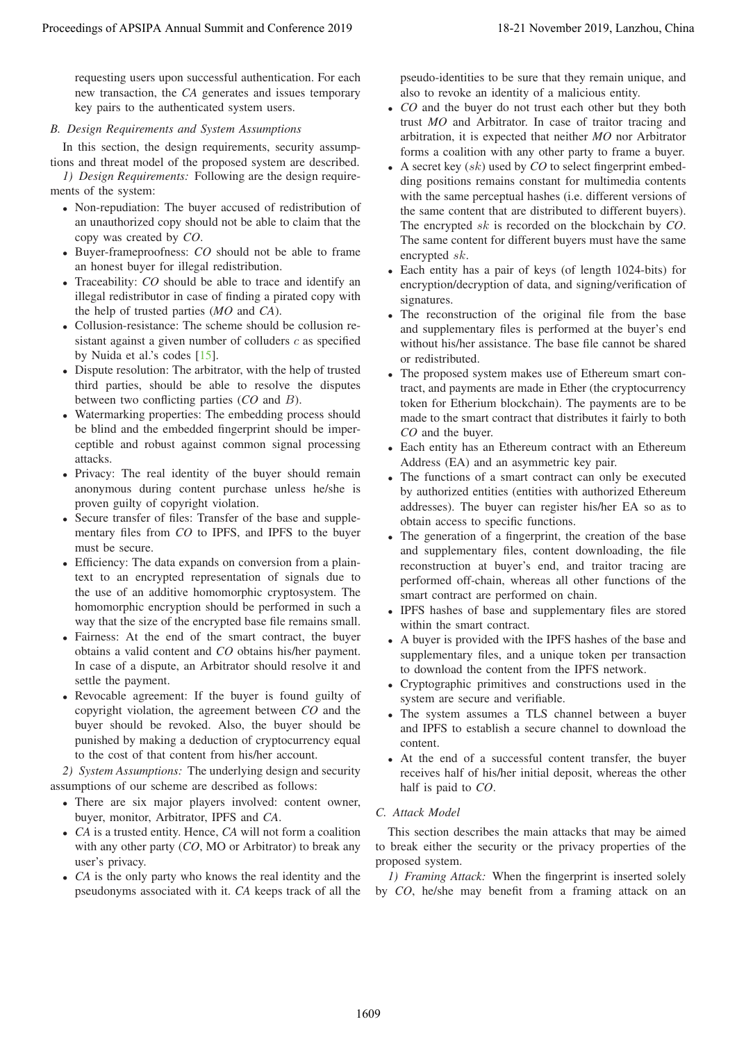requesting users upon successful authentication. For each new transaction, the *CA* generates and issues temporary key pairs to the authenticated system users.

# *B. Design Requirements and System Assumptions*

In this section, the design requirements, security assumptions and threat model of the proposed system are described.

*1) Design Requirements:* Following are the design requirements of the system:

- Non-repudiation: The buyer accused of redistribution of an unauthorized copy should not be able to claim that the copy was created by *CO*.
- Buyer-frameproofness: *CO* should not be able to frame an honest buyer for illegal redistribution.
- Traceability: *CO* should be able to trace and identify an illegal redistributor in case of finding a pirated copy with the help of trusted parties (*MO* and *CA*).
- Collusion-resistance: The scheme should be collusion resistant against a given number of colluders  $c$  as specified by Nuida et al.'s codes [15].
- Dispute resolution: The arbitrator, with the help of trusted third parties, should be able to resolve the disputes between two conflicting parties (*CO* and B).
- Watermarking properties: The embedding process should be blind and the embedded fingerprint should be imperceptible and robust against common signal processing attacks.
- Privacy: The real identity of the buyer should remain anonymous during content purchase unless he/she is proven guilty of copyright violation.
- Secure transfer of files: Transfer of the base and supplementary files from *CO* to IPFS, and IPFS to the buyer must be secure.
- Efficiency: The data expands on conversion from a plaintext to an encrypted representation of signals due to the use of an additive homomorphic cryptosystem. The homomorphic encryption should be performed in such a way that the size of the encrypted base file remains small.
- Fairness: At the end of the smart contract, the buyer obtains a valid content and *CO* obtains his/her payment. In case of a dispute, an Arbitrator should resolve it and settle the payment.
- Revocable agreement: If the buyer is found guilty of copyright violation, the agreement between *CO* and the buyer should be revoked. Also, the buyer should be punished by making a deduction of cryptocurrency equal to the cost of that content from his/her account.

*2) System Assumptions:* The underlying design and security assumptions of our scheme are described as follows:

- There are six major players involved: content owner, buyer, monitor, Arbitrator, IPFS and *CA*.
- *CA* is a trusted entity. Hence, *CA* will not form a coalition with any other party (*CO*, MO or Arbitrator) to break any user's privacy.
- *CA* is the only party who knows the real identity and the pseudonyms associated with it. *CA* keeps track of all the

pseudo-identities to be sure that they remain unique, and also to revoke an identity of a malicious entity.

- *CO* and the buyer do not trust each other but they both trust *MO* and Arbitrator. In case of traitor tracing and arbitration, it is expected that neither *MO* nor Arbitrator forms a coalition with any other party to frame a buyer.
- A secret key (sk) used by *CO* to select fingerprint embedding positions remains constant for multimedia contents with the same perceptual hashes (i.e. different versions of the same content that are distributed to different buyers). The encrypted sk is recorded on the blockchain by *CO*. The same content for different buyers must have the same encrypted sk. Proceeding of APSIPA Annual Summit and Conference 2019<br>
The conference 2019 18-21 November 2019 18-21 November 2019 18-21 November 2019 18-21 November 2019 18-21 November 2019 18-21 November 2019 18-21 November 2019 18-21
	- Each entity has a pair of keys (of length 1024-bits) for encryption/decryption of data, and signing/verification of signatures.
	- The reconstruction of the original file from the base and supplementary files is performed at the buyer's end without his/her assistance. The base file cannot be shared or redistributed.
	- The proposed system makes use of Ethereum smart contract, and payments are made in Ether (the cryptocurrency token for Etherium blockchain). The payments are to be made to the smart contract that distributes it fairly to both *CO* and the buyer.
	- Each entity has an Ethereum contract with an Ethereum Address (EA) and an asymmetric key pair.
	- The functions of a smart contract can only be executed by authorized entities (entities with authorized Ethereum addresses). The buyer can register his/her EA so as to obtain access to specific functions.
	- The generation of a fingerprint, the creation of the base and supplementary files, content downloading, the file reconstruction at buyer's end, and traitor tracing are performed off-chain, whereas all other functions of the smart contract are performed on chain.
	- IPFS hashes of base and supplementary files are stored within the smart contract.
	- A buyer is provided with the IPFS hashes of the base and supplementary files, and a unique token per transaction to download the content from the IPFS network.
	- Cryptographic primitives and constructions used in the system are secure and verifiable.
	- The system assumes a TLS channel between a buyer and IPFS to establish a secure channel to download the content.
	- At the end of a successful content transfer, the buyer receives half of his/her initial deposit, whereas the other half is paid to *CO*.

# *C. Attack Model*

This section describes the main attacks that may be aimed to break either the security or the privacy properties of the proposed system.

*1) Framing Attack:* When the fingerprint is inserted solely by *CO*, he/she may benefit from a framing attack on an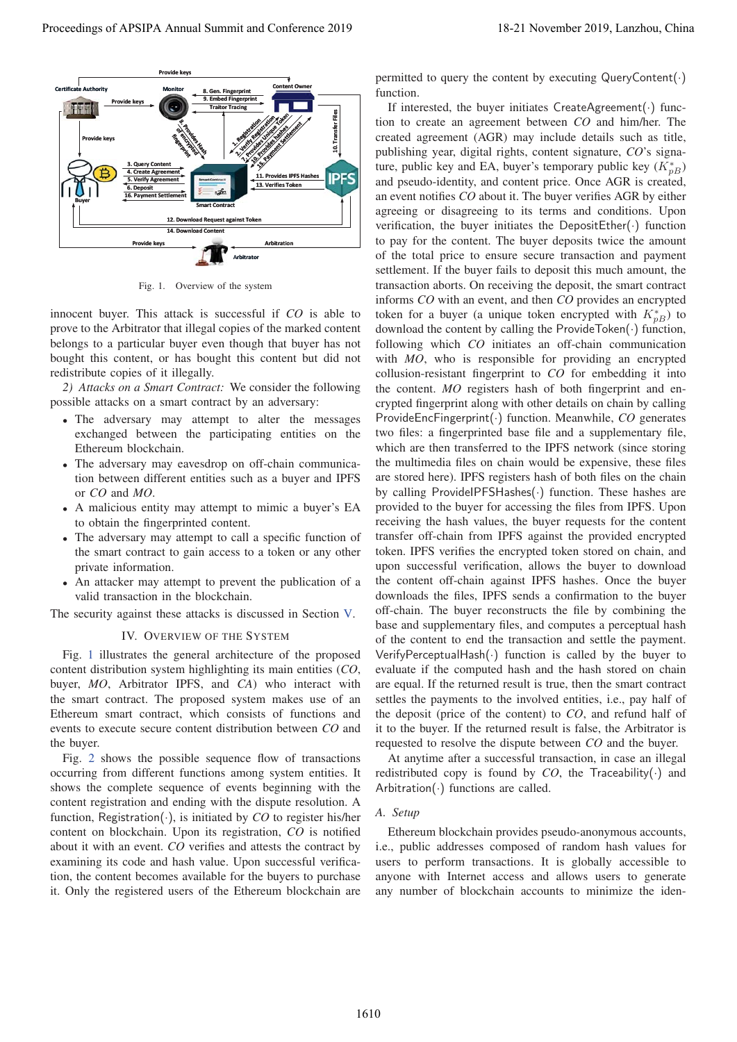

Fig. 1. Overview of the system

innocent buyer. This attack is successful if *CO* is able to prove to the Arbitrator that illegal copies of the marked content belongs to a particular buyer even though that buyer has not bought this content, or has bought this content but did not redistribute copies of it illegally.

*2) Attacks on a Smart Contract:* We consider the following possible attacks on a smart contract by an adversary:

- The adversary may attempt to alter the messages exchanged between the participating entities on the Ethereum blockchain.
- The adversary may eavesdrop on off-chain communication between different entities such as a buyer and IPFS or *CO* and *MO*.
- A malicious entity may attempt to mimic a buyer's EA to obtain the fingerprinted content.
- The adversary may attempt to call a specific function of the smart contract to gain access to a token or any other private information.
- An attacker may attempt to prevent the publication of a valid transaction in the blockchain.

The security against these attacks is discussed in Section V.

## IV. OVERVIEW OF THE SYSTEM

Fig. 1 illustrates the general architecture of the proposed content distribution system highlighting its main entities (*CO*, buyer, *MO*, Arbitrator IPFS, and *CA*) who interact with the smart contract. The proposed system makes use of an Ethereum smart contract, which consists of functions and events to execute secure content distribution between *CO* and the buyer.

Fig. 2 shows the possible sequence flow of transactions occurring from different functions among system entities. It shows the complete sequence of events beginning with the content registration and ending with the dispute resolution. A function, Registration(·), is initiated by *CO* to register his/her content on blockchain. Upon its registration, *CO* is notified about it with an event. *CO* verifies and attests the contract by examining its code and hash value. Upon successful verification, the content becomes available for the buyers to purchase it. Only the registered users of the Ethereum blockchain are

permitted to query the content by executing QueryContent(·) function.

If interested, the buyer initiates CreateAgreement(·) function to create an agreement between *CO* and him/her. The created agreement (AGR) may include details such as title, publishing year, digital rights, content signature, *CO*'s signature, public key and EA, buyer's temporary public key  $(K_{pB}^*)$ and pseudo-identity, and content price. Once AGR is created, an event notifies *CO* about it. The buyer verifies AGR by either agreeing or disagreeing to its terms and conditions. Upon verification, the buyer initiates the DepositEther $(\cdot)$  function to pay for the content. The buyer deposits twice the amount of the total price to ensure secure transaction and payment settlement. If the buyer fails to deposit this much amount, the transaction aborts. On receiving the deposit, the smart contract informs *CO* with an event, and then *CO* provides an encrypted token for a buyer (a unique token encrypted with  $K_{pB}^*$ ) to download the content by calling the ProvideToken(·) function, following which *CO* initiates an off-chain communication with *MO*, who is responsible for providing an encrypted collusion-resistant fingerprint to *CO* for embedding it into the content. *MO* registers hash of both fingerprint and encrypted fingerprint along with other details on chain by calling ProvideEncFingerprint(·) function. Meanwhile, *CO* generates two files: a fingerprinted base file and a supplementary file, which are then transferred to the IPFS network (since storing the multimedia files on chain would be expensive, these files are stored here). IPFS registers hash of both files on the chain by calling ProvideIPFSHashes(·) function. These hashes are provided to the buyer for accessing the files from IPFS. Upon receiving the hash values, the buyer requests for the content transfer off-chain from IPFS against the provided encrypted token. IPFS verifies the encrypted token stored on chain, and upon successful verification, allows the buyer to download the content off-chain against IPFS hashes. Once the buyer downloads the files, IPFS sends a confirmation to the buyer off-chain. The buyer reconstructs the file by combining the base and supplementary files, and computes a perceptual hash of the content to end the transaction and settle the payment. VerifyPerceptualHash(·) function is called by the buyer to evaluate if the computed hash and the hash stored on chain are equal. If the returned result is true, then the smart contract settles the payments to the involved entities, i.e., pay half of the deposit (price of the content) to *CO*, and refund half of it to the buyer. If the returned result is false, the Arbitrator is requested to resolve the dispute between *CO* and the buyer. **Proceedings of APSIPA Annual Summit and Conference 2019**<br> **Proceeding of APSIPA Annual Summit and Conference 2019**<br> **Proceeding of APSIPA Annual Summit and Conference 2019**<br> **Proceeding of APSIPA Annual Summit and Confer** 

At anytime after a successful transaction, in case an illegal redistributed copy is found by  $CO$ , the Traceability( $\cdot$ ) and Arbitration( $\cdot$ ) functions are called.

#### *A. Setup*

Ethereum blockchain provides pseudo-anonymous accounts, i.e., public addresses composed of random hash values for users to perform transactions. It is globally accessible to anyone with Internet access and allows users to generate any number of blockchain accounts to minimize the iden-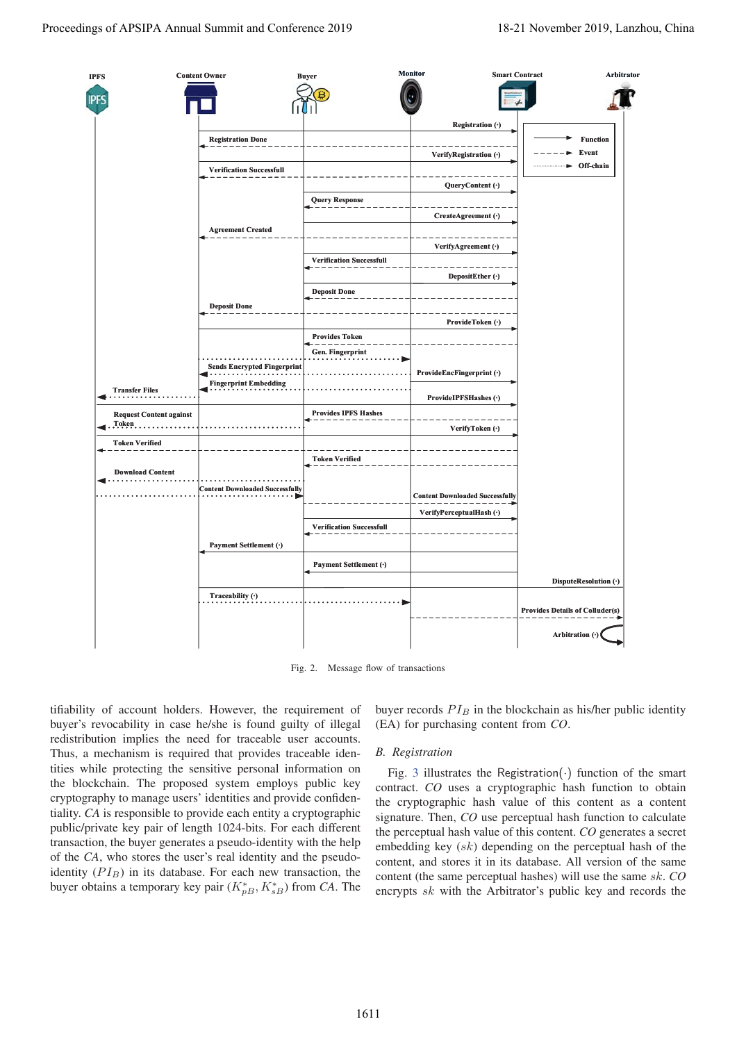

Fig. 2. Message flow of transactions

tifiability of account holders. However, the requirement of buyer's revocability in case he/she is found guilty of illegal redistribution implies the need for traceable user accounts. Thus, a mechanism is required that provides traceable identities while protecting the sensitive personal information on the blockchain. The proposed system employs public key cryptography to manage users' identities and provide confidentiality. *CA* is responsible to provide each entity a cryptographic public/private key pair of length 1024-bits. For each different transaction, the buyer generates a pseudo-identity with the help of the *CA*, who stores the user's real identity and the pseudoidentity  $(PI_B)$  in its database. For each new transaction, the buyer obtains a temporary key pair  $(K_{pB}^*, K_{sB}^*)$  from *CA*. The

buyer records  $PI_B$  in the blockchain as his/her public identity (EA) for purchasing content from *CO*.

## *B. Registration*

Fig. 3 illustrates the Registration $(\cdot)$  function of the smart contract. *CO* uses a cryptographic hash function to obtain the cryptographic hash value of this content as a content signature. Then, *CO* use perceptual hash function to calculate the perceptual hash value of this content. *CO* generates a secret embedding key  $(sk)$  depending on the perceptual hash of the content, and stores it in its database. All version of the same content (the same perceptual hashes) will use the same sk. *CO* encrypts sk with the Arbitrator's public key and records the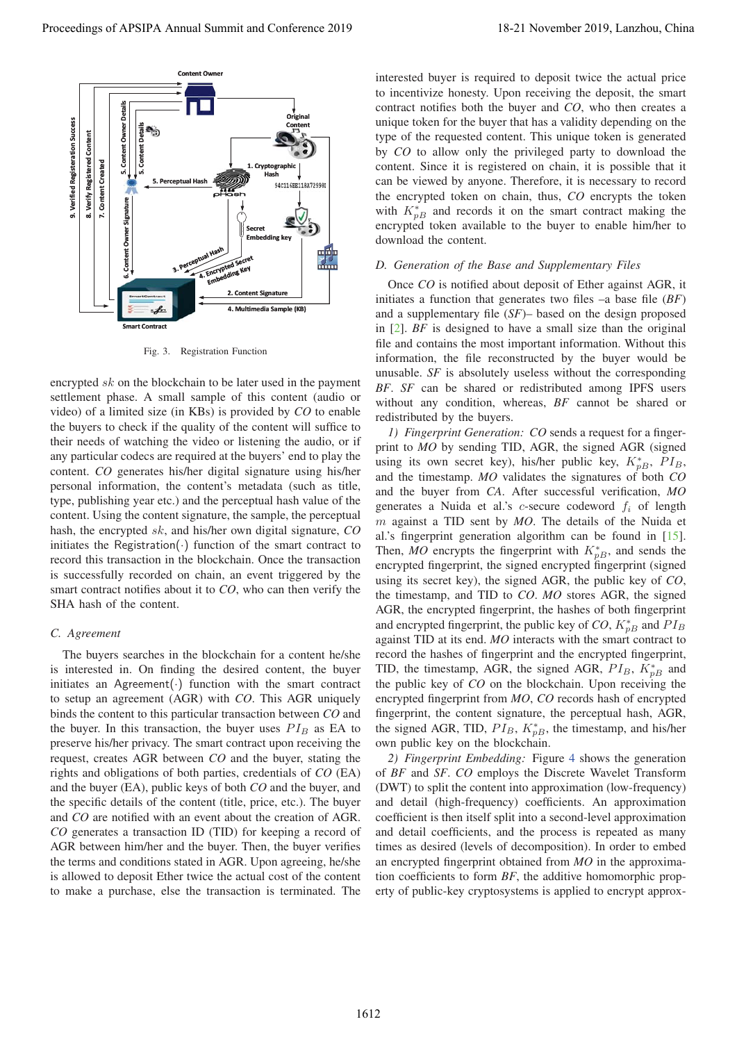

Fig. 3. Registration Function

encrypted sk on the blockchain to be later used in the payment settlement phase. A small sample of this content (audio or video) of a limited size (in KBs) is provided by *CO* to enable the buyers to check if the quality of the content will suffice to their needs of watching the video or listening the audio, or if any particular codecs are required at the buyers' end to play the content. *CO* generates his/her digital signature using his/her personal information, the content's metadata (such as title, type, publishing year etc.) and the perceptual hash value of the content. Using the content signature, the sample, the perceptual hash, the encrypted sk, and his/her own digital signature, *CO* initiates the Registration $(\cdot)$  function of the smart contract to record this transaction in the blockchain. Once the transaction is successfully recorded on chain, an event triggered by the smart contract notifies about it to *CO*, who can then verify the SHA hash of the content.

# *C. Agreement*

The buyers searches in the blockchain for a content he/she is interested in. On finding the desired content, the buyer initiates an Agreement $(\cdot)$  function with the smart contract to setup an agreement (AGR) with *CO*. This AGR uniquely binds the content to this particular transaction between *CO* and the buyer. In this transaction, the buyer uses  $PI_B$  as EA to preserve his/her privacy. The smart contract upon receiving the request, creates AGR between *CO* and the buyer, stating the rights and obligations of both parties, credentials of *CO* (EA) and the buyer (EA), public keys of both *CO* and the buyer, and the specific details of the content (title, price, etc.). The buyer and *CO* are notified with an event about the creation of AGR. *CO* generates a transaction ID (TID) for keeping a record of AGR between him/her and the buyer. Then, the buyer verifies the terms and conditions stated in AGR. Upon agreeing, he/she is allowed to deposit Ether twice the actual cost of the content to make a purchase, else the transaction is terminated. The

interested buyer is required to deposit twice the actual price to incentivize honesty. Upon receiving the deposit, the smart contract notifies both the buyer and *CO*, who then creates a unique token for the buyer that has a validity depending on the type of the requested content. This unique token is generated by *CO* to allow only the privileged party to download the content. Since it is registered on chain, it is possible that it can be viewed by anyone. Therefore, it is necessary to record the encrypted token on chain, thus, *CO* encrypts the token with  $K_{pB}^*$  and records it on the smart contract making the encrypted token available to the buyer to enable him/her to download the content.

# *D. Generation of the Base and Supplementary Files*

Once *CO* is notified about deposit of Ether against AGR, it initiates a function that generates two files –a base file (*BF*) and a supplementary file (*SF*)– based on the design proposed in [2]. *BF* is designed to have a small size than the original file and contains the most important information. Without this information, the file reconstructed by the buyer would be unusable. *SF* is absolutely useless without the corresponding *BF*. *SF* can be shared or redistributed among IPFS users without any condition, whereas, *BF* cannot be shared or redistributed by the buyers.

*1) Fingerprint Generation: CO* sends a request for a fingerprint to *MO* by sending TID, AGR, the signed AGR (signed using its own secret key), his/her public key,  $K_{pB}^*$ ,  $PI_B$ , and the timestamp. *MO* validates the signatures of both *CO* and the buyer from *CA*. After successful verification, *MO* generates a Nuida et al.'s  $c$ -secure codeword  $f_i$  of length m against a TID sent by *MO*. The details of the Nuida et al.'s fingerprint generation algorithm can be found in [15]. Then, *MO* encrypts the fingerprint with  $K_{pB}^*$ , and sends the encrypted fingerprint, the signed encrypted fingerprint (signed using its secret key), the signed AGR, the public key of *CO*, the timestamp, and TID to *CO*. *MO* stores AGR, the signed AGR, the encrypted fingerprint, the hashes of both fingerprint and encrypted fingerprint, the public key of  $CO$ ,  $K_{pB}^*$  and  $PI_B$ against TID at its end. *MO* interacts with the smart contract to record the hashes of fingerprint and the encrypted fingerprint, TID, the timestamp, AGR, the signed AGR,  $PI_B$ ,  $K_{pB}^*$  and the public key of *CO* on the blockchain. Upon receiving the encrypted fingerprint from *MO*, *CO* records hash of encrypted fingerprint, the content signature, the perceptual hash, AGR, the signed AGR, TID,  $PI_B$ ,  $K_{pB}^*$ , the timestamp, and his/her own public key on the blockchain. **Proceeding distribution in the conference 2019 18-21 November 2019 18-21 November 2019 18-21 November 2019 18-21 November 2019 18-21 November 2019 18-21 November 2019 18-21 November 2019 18-21 November 2019 18-21 Novembe** 

*2) Fingerprint Embedding:* Figure 4 shows the generation of *BF* and *SF*. *CO* employs the Discrete Wavelet Transform (DWT) to split the content into approximation (low-frequency) and detail (high-frequency) coefficients. An approximation coefficient is then itself split into a second-level approximation and detail coefficients, and the process is repeated as many times as desired (levels of decomposition). In order to embed an encrypted fingerprint obtained from *MO* in the approximation coefficients to form *BF*, the additive homomorphic property of public-key cryptosystems is applied to encrypt approx-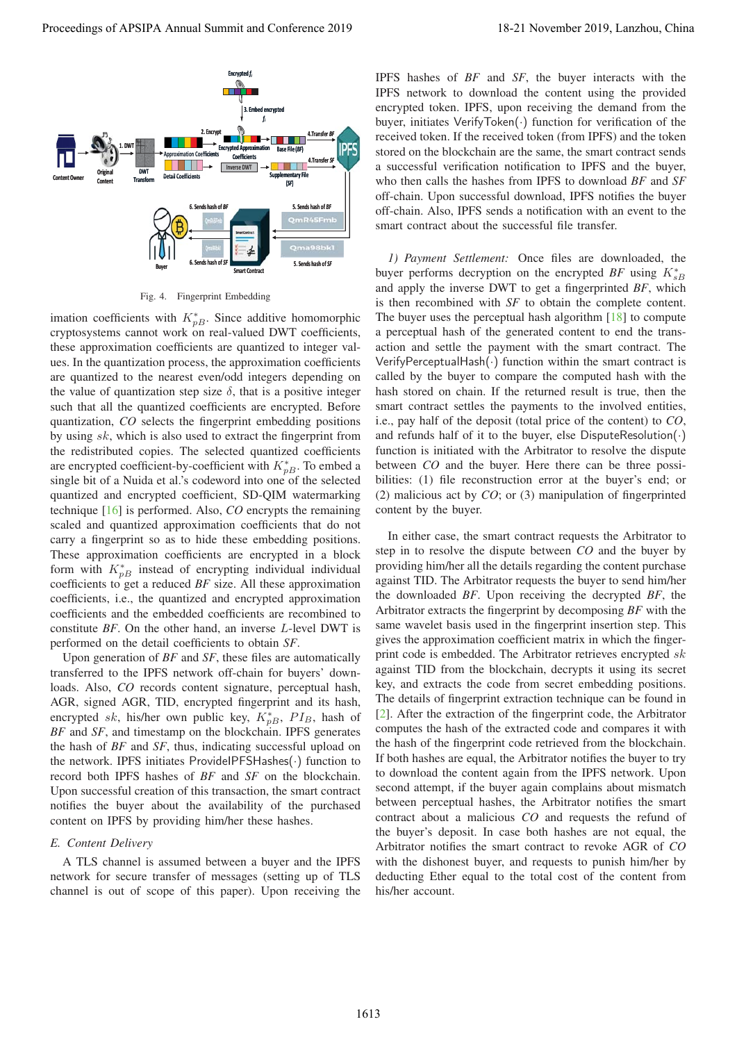

Fig. 4. Fingerprint Embedding

imation coefficients with  $K_{pB}^*$ . Since additive homomorphic cryptosystems cannot work on real-valued DWT coefficients, these approximation coefficients are quantized to integer values. In the quantization process, the approximation coefficients are quantized to the nearest even/odd integers depending on the value of quantization step size  $\delta$ , that is a positive integer such that all the quantized coefficients are encrypted. Before quantization, *CO* selects the fingerprint embedding positions by using sk, which is also used to extract the fingerprint from the redistributed copies. The selected quantized coefficients are encrypted coefficient-by-coefficient with  $K_{pB}^*$ . To embed a single bit of a Nuida et al.'s codeword into one of the selected quantized and encrypted coefficient, SD-QIM watermarking technique [16] is performed. Also, *CO* encrypts the remaining scaled and quantized approximation coefficients that do not carry a fingerprint so as to hide these embedding positions. These approximation coefficients are encrypted in a block form with  $K_{pB}^*$  instead of encrypting individual individual coefficients to get a reduced *BF* size. All these approximation coefficients, i.e., the quantized and encrypted approximation coefficients and the embedded coefficients are recombined to constitute *BF*. On the other hand, an inverse L-level DWT is performed on the detail coefficients to obtain *SF*.

Upon generation of *BF* and *SF*, these files are automatically transferred to the IPFS network off-chain for buyers' downloads. Also, *CO* records content signature, perceptual hash, AGR, signed AGR, TID, encrypted fingerprint and its hash, encrypted sk, his/her own public key,  $K_{pB}^*$ ,  $PI_B$ , hash of *BF* and *SF*, and timestamp on the blockchain. IPFS generates the hash of *BF* and *SF*, thus, indicating successful upload on the network. IPFS initiates ProvideIPFSHashes(·) function to record both IPFS hashes of *BF* and *SF* on the blockchain. Upon successful creation of this transaction, the smart contract notifies the buyer about the availability of the purchased content on IPFS by providing him/her these hashes.

#### *E. Content Delivery*

A TLS channel is assumed between a buyer and the IPFS network for secure transfer of messages (setting up of TLS channel is out of scope of this paper). Upon receiving the IPFS hashes of *BF* and *SF*, the buyer interacts with the IPFS network to download the content using the provided encrypted token. IPFS, upon receiving the demand from the buyer, initiates VerifyToken(·) function for verification of the received token. If the received token (from IPFS) and the token stored on the blockchain are the same, the smart contract sends a successful verification notification to IPFS and the buyer, who then calls the hashes from IPFS to download *BF* and *SF* off-chain. Upon successful download, IPFS notifies the buyer off-chain. Also, IPFS sends a notification with an event to the smart contract about the successful file transfer.

*1) Payment Settlement:* Once files are downloaded, the buyer performs decryption on the encrypted  $BF$  using  $K_{sB}^*$ and apply the inverse DWT to get a fingerprinted *BF*, which is then recombined with *SF* to obtain the complete content. The buyer uses the perceptual hash algorithm [18] to compute a perceptual hash of the generated content to end the transaction and settle the payment with the smart contract. The VerifyPerceptualHash(·) function within the smart contract is called by the buyer to compare the computed hash with the hash stored on chain. If the returned result is true, then the smart contract settles the payments to the involved entities, i.e., pay half of the deposit (total price of the content) to *CO*, and refunds half of it to the buyer, else DisputeResolution $(\cdot)$ function is initiated with the Arbitrator to resolve the dispute between *CO* and the buyer. Here there can be three possibilities: (1) file reconstruction error at the buyer's end; or (2) malicious act by *CO*; or (3) manipulation of fingerprinted content by the buyer.

In either case, the smart contract requests the Arbitrator to step in to resolve the dispute between *CO* and the buyer by providing him/her all the details regarding the content purchase against TID. The Arbitrator requests the buyer to send him/her the downloaded *BF*. Upon receiving the decrypted *BF*, the Arbitrator extracts the fingerprint by decomposing *BF* with the same wavelet basis used in the fingerprint insertion step. This gives the approximation coefficient matrix in which the fingerprint code is embedded. The Arbitrator retrieves encrypted  $sk$ against TID from the blockchain, decrypts it using its secret key, and extracts the code from secret embedding positions. The details of fingerprint extraction technique can be found in [2]. After the extraction of the fingerprint code, the Arbitrator computes the hash of the extracted code and compares it with the hash of the fingerprint code retrieved from the blockchain. If both hashes are equal, the Arbitrator notifies the buyer to try to download the content again from the IPFS network. Upon second attempt, if the buyer again complains about mismatch between perceptual hashes, the Arbitrator notifies the smart contract about a malicious *CO* and requests the refund of the buyer's deposit. In case both hashes are not equal, the Arbitrator notifies the smart contract to revoke AGR of *CO* with the dishonest buyer, and requests to punish him/her by deducting Ether equal to the total cost of the content from his/her account. **Proceeding of APSIPA Annual Summit and Conference 2019 18-21 November 2019 18-21 November 2019 18-22 November 2019 18:<br>
The second is the second in the second in the second in the second in the second in the second in th**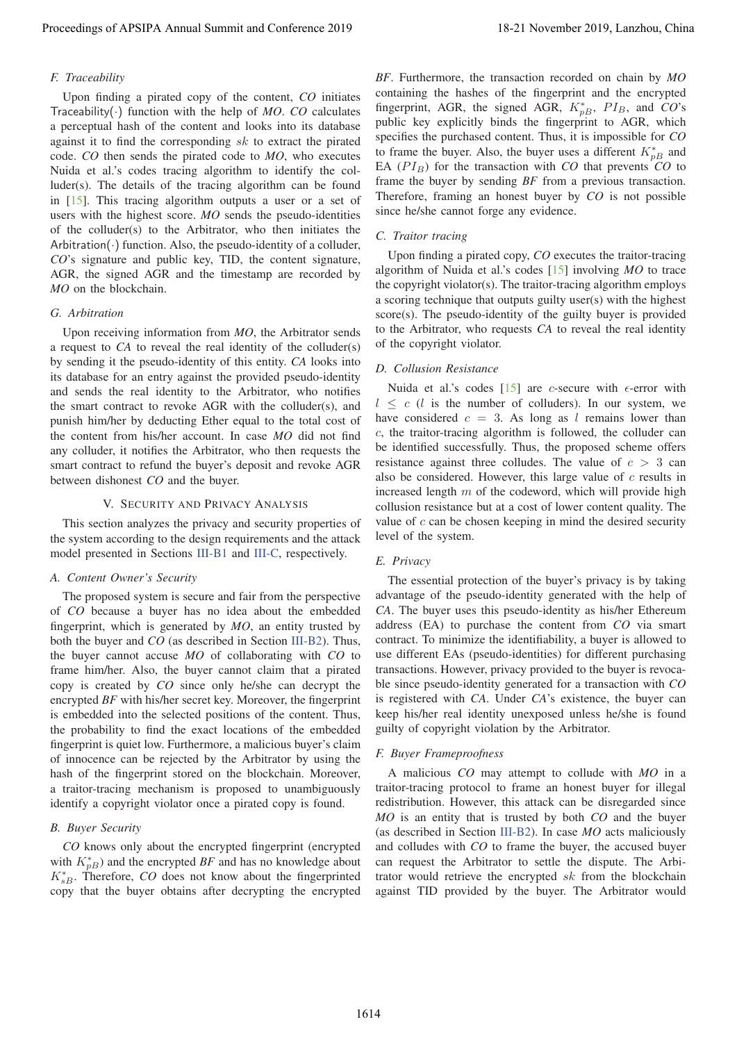## *F. Traceability*

Upon finding a pirated copy of the content, *CO* initiates Traceability( $\cdot$ ) function with the help of *MO*. *CO* calculates a perceptual hash of the content and looks into its database against it to find the corresponding  $sk$  to extract the pirated code. *CO* then sends the pirated code to *MO*, who executes Nuida et al.'s codes tracing algorithm to identify the colluder(s). The details of the tracing algorithm can be found in [15]. This tracing algorithm outputs a user or a set of users with the highest score. *MO* sends the pseudo-identities of the colluder(s) to the Arbitrator, who then initiates the Arbitration( $\cdot$ ) function. Also, the pseudo-identity of a colluder, *CO*'s signature and public key, TID, the content signature, AGR, the signed AGR and the timestamp are recorded by *MO* on the blockchain.

## *G. Arbitration*

Upon receiving information from *MO*, the Arbitrator sends a request to *CA* to reveal the real identity of the colluder(s) by sending it the pseudo-identity of this entity. *CA* looks into its database for an entry against the provided pseudo-identity and sends the real identity to the Arbitrator, who notifies the smart contract to revoke AGR with the colluder(s), and punish him/her by deducting Ether equal to the total cost of the content from his/her account. In case *MO* did not find any colluder, it notifies the Arbitrator, who then requests the smart contract to refund the buyer's deposit and revoke AGR between dishonest *CO* and the buyer.

## V. SECURITY AND PRIVACY ANALYSIS

This section analyzes the privacy and security properties of the system according to the design requirements and the attack model presented in Sections III-B1 and III-C, respectively.

## *A. Content Owner's Security*

The proposed system is secure and fair from the perspective of *CO* because a buyer has no idea about the embedded fingerprint, which is generated by *MO*, an entity trusted by both the buyer and *CO* (as described in Section III-B2). Thus, the buyer cannot accuse *MO* of collaborating with *CO* to frame him/her. Also, the buyer cannot claim that a pirated copy is created by *CO* since only he/she can decrypt the encrypted *BF* with his/her secret key. Moreover, the fingerprint is embedded into the selected positions of the content. Thus, the probability to find the exact locations of the embedded fingerprint is quiet low. Furthermore, a malicious buyer's claim of innocence can be rejected by the Arbitrator by using the hash of the fingerprint stored on the blockchain. Moreover, a traitor-tracing mechanism is proposed to unambiguously identify a copyright violator once a pirated copy is found. Proceedings of APSIPA Annual Summit and Conference 2019 18-21 November 2019, Lanzhou, China 1614

#### *B. Buyer Security*

*CO* knows only about the encrypted fingerprint (encrypted with  $K_{pB}^*$ ) and the encrypted *BF* and has no knowledge about  $K_{sB}^{*}$ . Therefore, *CO* does not know about the fingerprinted copy that the buyer obtains after decrypting the encrypted *BF*. Furthermore, the transaction recorded on chain by *MO* containing the hashes of the fingerprint and the encrypted fingerprint, AGR, the signed AGR,  $K_{pB}^*$ ,  $PI_B$ , and  $CO$ 's public key explicitly binds the fingerprint to AGR, which specifies the purchased content. Thus, it is impossible for *CO* to frame the buyer. Also, the buyer uses a different  $K_{pB}^*$  and EA  $(PI_B)$  for the transaction with *CO* that prevents *CO* to frame the buyer by sending *BF* from a previous transaction. Therefore, framing an honest buyer by *CO* is not possible since he/she cannot forge any evidence.

## *C. Traitor tracing*

Upon finding a pirated copy, *CO* executes the traitor-tracing algorithm of Nuida et al.'s codes [15] involving *MO* to trace the copyright violator(s). The traitor-tracing algorithm employs a scoring technique that outputs guilty user(s) with the highest score(s). The pseudo-identity of the guilty buyer is provided to the Arbitrator, who requests *CA* to reveal the real identity of the copyright violator.

#### *D. Collusion Resistance*

Nuida et al.'s codes [15] are *c*-secure with  $\epsilon$ -error with  $l \leq c$  (l is the number of colluders). In our system, we have considered  $c = 3$ . As long as l remains lower than c, the traitor-tracing algorithm is followed, the colluder can be identified successfully. Thus, the proposed scheme offers resistance against three colludes. The value of  $c > 3$  can also be considered. However, this large value of  $c$  results in increased length  $m$  of the codeword, which will provide high collusion resistance but at a cost of lower content quality. The value of  $c$  can be chosen keeping in mind the desired security level of the system.

## *E. Privacy*

The essential protection of the buyer's privacy is by taking advantage of the pseudo-identity generated with the help of *CA*. The buyer uses this pseudo-identity as his/her Ethereum address (EA) to purchase the content from *CO* via smart contract. To minimize the identifiability, a buyer is allowed to use different EAs (pseudo-identities) for different purchasing transactions. However, privacy provided to the buyer is revocable since pseudo-identity generated for a transaction with *CO* is registered with *CA*. Under *CA*'s existence, the buyer can keep his/her real identity unexposed unless he/she is found guilty of copyright violation by the Arbitrator.

## *F. Buyer Frameproofness*

A malicious *CO* may attempt to collude with *MO* in a traitor-tracing protocol to frame an honest buyer for illegal redistribution. However, this attack can be disregarded since *MO* is an entity that is trusted by both *CO* and the buyer (as described in Section III-B2). In case *MO* acts maliciously and colludes with *CO* to frame the buyer, the accused buyer can request the Arbitrator to settle the dispute. The Arbitrator would retrieve the encrypted  $sk$  from the blockchain against TID provided by the buyer. The Arbitrator would